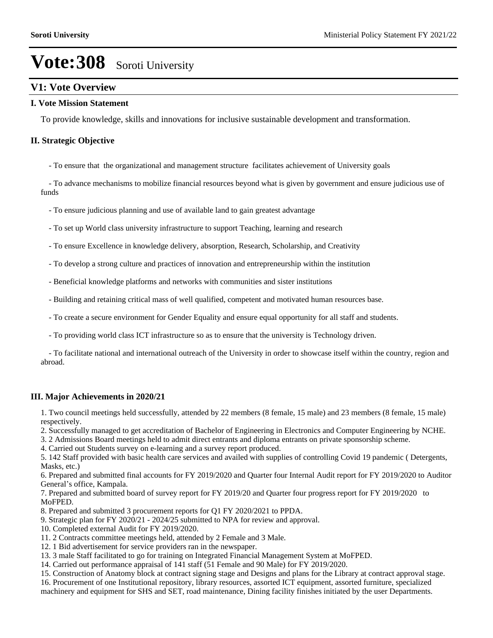## **V1: Vote Overview**

#### **I. Vote Mission Statement**

To provide knowledge, skills and innovations for inclusive sustainable development and transformation.

#### **II. Strategic Objective**

- To ensure that the organizational and management structure facilitates achievement of University goals

 - To advance mechanisms to mobilize financial resources beyond what is given by government and ensure judicious use of funds

- To ensure judicious planning and use of available land to gain greatest advantage
- To set up World class university infrastructure to support Teaching, learning and research
- To ensure Excellence in knowledge delivery, absorption, Research, Scholarship, and Creativity
- To develop a strong culture and practices of innovation and entrepreneurship within the institution
- Beneficial knowledge platforms and networks with communities and sister institutions
- Building and retaining critical mass of well qualified, competent and motivated human resources base.
- To create a secure environment for Gender Equality and ensure equal opportunity for all staff and students.
- To providing world class ICT infrastructure so as to ensure that the university is Technology driven.

 - To facilitate national and international outreach of the University in order to showcase itself within the country, region and abroad.

#### **III. Major Achievements in 2020/21**

1. Two council meetings held successfully, attended by 22 members (8 female, 15 male) and 23 members (8 female, 15 male) respectively.

- 2. Successfully managed to get accreditation of Bachelor of Engineering in Electronics and Computer Engineering by NCHE.
- 3. 2 Admissions Board meetings held to admit direct entrants and diploma entrants on private sponsorship scheme.
- 4. Carried out Students survey on e-learning and a survey report produced.

5. 142 Staff provided with basic health care services and availed with supplies of controlling Covid 19 pandemic ( Detergents, Masks, etc.)

6. Prepared and submitted final accounts for FY 2019/2020 and Quarter four Internal Audit report for FY 2019/2020 to Auditor General's office, Kampala.

7. Prepared and submitted board of survey report for FY 2019/20 and Quarter four progress report for FY 2019/2020 to MoFPED.

- 8. Prepared and submitted 3 procurement reports for Q1 FY 2020/2021 to PPDA.
- 9. Strategic plan for FY 2020/21 2024/25 submitted to NPA for review and approval.
- 10. Completed external Audit for FY 2019/2020.
- 11. 2 Contracts committee meetings held, attended by 2 Female and 3 Male.
- 12. 1 Bid advertisement for service providers ran in the newspaper.
- 13. 3 male Staff facilitated to go for training on Integrated Financial Management System at MoFPED.
- 14. Carried out performance appraisal of 141 staff (51 Female and 90 Male) for FY 2019/2020.
- 15. Construction of Anatomy block at contract signing stage and Designs and plans for the Library at contract approval stage.
- 16. Procurement of one Institutional repository, library resources, assorted ICT equipment, assorted furniture, specialized machinery and equipment for SHS and SET, road maintenance, Dining facility finishes initiated by the user Departments.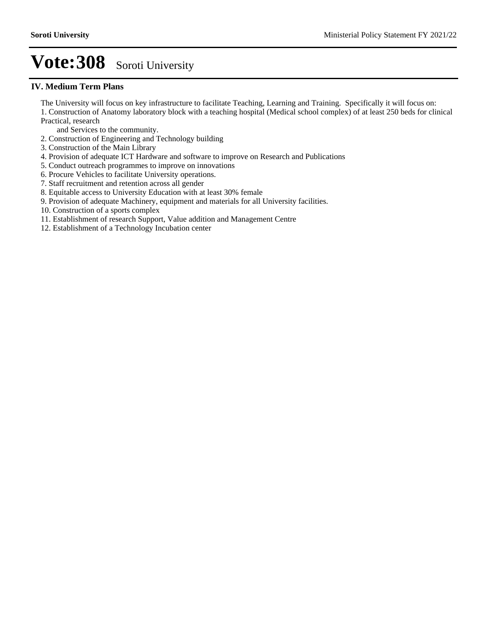#### **IV. Medium Term Plans**

The University will focus on key infrastructure to facilitate Teaching, Learning and Training. Specifically it will focus on: 1. Construction of Anatomy laboratory block with a teaching hospital (Medical school complex) of at least 250 beds for clinical Practical, research

- and Services to the community.
- 2. Construction of Engineering and Technology building
- 3. Construction of the Main Library
- 4. Provision of adequate ICT Hardware and software to improve on Research and Publications
- 5. Conduct outreach programmes to improve on innovations
- 6. Procure Vehicles to facilitate University operations.
- 7. Staff recruitment and retention across all gender
- 8. Equitable access to University Education with at least 30% female
- 9. Provision of adequate Machinery, equipment and materials for all University facilities.
- 10. Construction of a sports complex
- 11. Establishment of research Support, Value addition and Management Centre
- 12. Establishment of a Technology Incubation center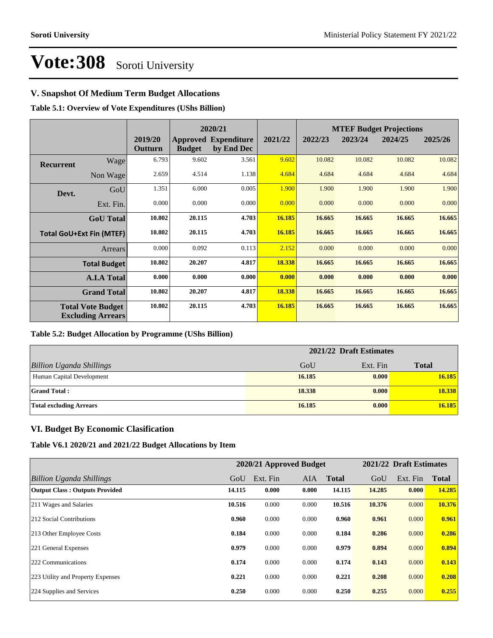### **V. Snapshot Of Medium Term Budget Allocations**

**Table 5.1: Overview of Vote Expenditures (UShs Billion)**

|           |                                                      |                    |               | 2020/21                                   |         | <b>MTEF Budget Projections</b> |         |         |         |
|-----------|------------------------------------------------------|--------------------|---------------|-------------------------------------------|---------|--------------------------------|---------|---------|---------|
|           |                                                      | 2019/20<br>Outturn | <b>Budget</b> | <b>Approved Expenditure</b><br>by End Dec | 2021/22 | 2022/23                        | 2023/24 | 2024/25 | 2025/26 |
| Recurrent | Wage                                                 | 6.793              | 9.602         | 3.561                                     | 9.602   | 10.082                         | 10.082  | 10.082  | 10.082  |
|           | Non Wage                                             | 2.659              | 4.514         | 1.138                                     | 4.684   | 4.684                          | 4.684   | 4.684   | 4.684   |
| Devt.     | GoU                                                  | 1.351              | 6.000         | 0.005                                     | 1.900   | 1.900                          | 1.900   | 1.900   | 1.900   |
|           | Ext. Fin.                                            | 0.000              | 0.000         | 0.000                                     | 0.000   | 0.000                          | 0.000   | 0.000   | 0.000   |
|           | <b>GoU</b> Total                                     | 10.802             | 20.115        | 4.703                                     | 16.185  | 16.665                         | 16.665  | 16.665  | 16.665  |
|           | <b>Total GoU+Ext Fin (MTEF)</b>                      | 10.802             | 20.115        | 4.703                                     | 16.185  | 16.665                         | 16.665  | 16.665  | 16.665  |
|           | <b>Arrears</b>                                       | 0.000              | 0.092         | 0.113                                     | 2.152   | 0.000                          | 0.000   | 0.000   | 0.000   |
|           | <b>Total Budget</b>                                  | 10.802             | 20.207        | 4.817                                     | 18.338  | 16.665                         | 16.665  | 16.665  | 16.665  |
|           | <b>A.I.A Total</b>                                   | 0.000              | 0.000         | 0.000                                     | 0.000   | 0.000                          | 0.000   | 0.000   | 0.000   |
|           | <b>Grand Total</b>                                   | 10.802             | 20.207        | 4.817                                     | 18.338  | 16.665                         | 16.665  | 16.665  | 16.665  |
|           | <b>Total Vote Budget</b><br><b>Excluding Arrears</b> | 10.802             | 20.115        | 4.703                                     | 16.185  | 16.665                         | 16.665  | 16.665  | 16.665  |

#### **Table 5.2: Budget Allocation by Programme (UShs Billion)**

|                                 | 2021/22 Draft Estimates |          |              |  |  |
|---------------------------------|-------------------------|----------|--------------|--|--|
| <b>Billion Uganda Shillings</b> | GoU                     | Ext. Fin | <b>Total</b> |  |  |
| Human Capital Development       | 16.185                  | 0.000    | 16.185       |  |  |
| <b>Grand Total:</b>             | 18.338                  | 0.000    | 18.338       |  |  |
| <b>Total excluding Arrears</b>  | 16.185                  | 0.000    | 16.185       |  |  |

#### **VI. Budget By Economic Clasification**

**Table V6.1 2020/21 and 2021/22 Budget Allocations by Item**

|                                       |        | 2020/21 Approved Budget |            |              |        | 2021/22 Draft Estimates |              |
|---------------------------------------|--------|-------------------------|------------|--------------|--------|-------------------------|--------------|
| Billion Uganda Shillings              | GoU    | Ext. Fin                | <b>AIA</b> | <b>Total</b> | GoU    | Ext. Fin                | <b>Total</b> |
| <b>Output Class: Outputs Provided</b> | 14.115 | 0.000                   | 0.000      | 14.115       | 14.285 | 0.000                   | 14.285       |
| 211 Wages and Salaries                | 10.516 | 0.000                   | 0.000      | 10.516       | 10.376 | 0.000                   | 10.376       |
| 212 Social Contributions              | 0.960  | 0.000                   | 0.000      | 0.960        | 0.961  | 0.000                   | 0.961        |
| 213 Other Employee Costs              | 0.184  | 0.000                   | 0.000      | 0.184        | 0.286  | 0.000                   | 0.286        |
| 221 General Expenses                  | 0.979  | 0.000                   | 0.000      | 0.979        | 0.894  | 0.000                   | 0.894        |
| 222 Communications                    | 0.174  | 0.000                   | 0.000      | 0.174        | 0.143  | 0.000                   | 0.143        |
| 223 Utility and Property Expenses     | 0.221  | 0.000                   | 0.000      | 0.221        | 0.208  | 0.000                   | 0.208        |
| 224 Supplies and Services             | 0.250  | 0.000                   | 0.000      | 0.250        | 0.255  | 0.000                   | 0.255        |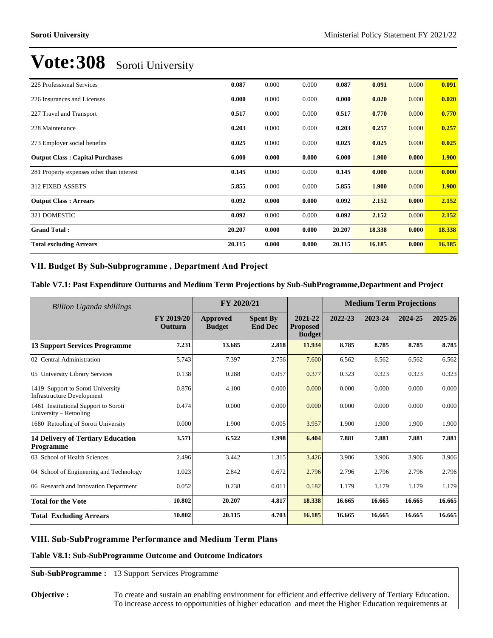| 225 Professional Services                 | 0.087  | 0.000 | 0.000 | 0.087  | 0.091  | 0.000 | 0.091        |
|-------------------------------------------|--------|-------|-------|--------|--------|-------|--------------|
| 226 Insurances and Licenses               | 0.000  | 0.000 | 0.000 | 0.000  | 0.020  | 0.000 | 0.020        |
| 227 Travel and Transport                  | 0.517  | 0.000 | 0.000 | 0.517  | 0.770  | 0.000 | 0.770        |
| 228 Maintenance                           | 0.203  | 0.000 | 0.000 | 0.203  | 0.257  | 0.000 | 0.257        |
| 273 Employer social benefits              | 0.025  | 0.000 | 0.000 | 0.025  | 0.025  | 0.000 | 0.025        |
| <b>Output Class: Capital Purchases</b>    | 6.000  | 0.000 | 0.000 | 6.000  | 1.900  | 0.000 | <b>1.900</b> |
| 281 Property expenses other than interest | 0.145  | 0.000 | 0.000 | 0.145  | 0.000  | 0.000 | 0.000        |
| <b>312 FIXED ASSETS</b>                   | 5.855  | 0.000 | 0.000 | 5.855  | 1.900  | 0.000 | <b>1.900</b> |
| <b>Output Class: Arrears</b>              | 0.092  | 0.000 | 0.000 | 0.092  | 2.152  | 0.000 | 2.152        |
| 321 DOMESTIC                              | 0.092  | 0.000 | 0.000 | 0.092  | 2.152  | 0.000 | 2.152        |
| <b>Grand Total:</b>                       | 20.207 | 0.000 | 0.000 | 20.207 | 18.338 | 0.000 | 18.338       |
| <b>Total excluding Arrears</b>            | 20.115 | 0.000 | 0.000 | 20.115 | 16.185 | 0.000 | 16.185       |

### VII. Budget By Sub-Subprogramme, Department And Project

#### **Table V7.1: Past Expenditure Outturns and Medium Term Projections by Sub-SubProgramme,Department and Project**

| Billion Uganda shillings                                               | FY 2020/21                   |                           |                                   | <b>Medium Term Projections</b>              |         |         |         |             |
|------------------------------------------------------------------------|------------------------------|---------------------------|-----------------------------------|---------------------------------------------|---------|---------|---------|-------------|
|                                                                        | <b>FY 2019/20</b><br>Outturn | Approved<br><b>Budget</b> | <b>Spent By</b><br><b>End Dec</b> | 2021-22<br><b>Proposed</b><br><b>Budget</b> | 2022-23 | 2023-24 | 2024-25 | $2025 - 26$ |
| <b>13 Support Services Programme</b>                                   | 7.231                        | 13.685                    | 2.818                             | 11.934                                      | 8.785   | 8.785   | 8.785   | 8.785       |
| 02 Central Administration                                              | 5.743                        | 7.397                     | 2.756                             | 7.600                                       | 6.562   | 6.562   | 6.562   | 6.562       |
| 05 University Library Services                                         | 0.138                        | 0.288                     | 0.057                             | 0.377                                       | 0.323   | 0.323   | 0.323   | 0.323       |
| 1419 Support to Soroti University<br><b>Infrastructure Development</b> | 0.876                        | 4.100                     | 0.000                             | 0.000                                       | 0.000   | 0.000   | 0.000   | 0.000       |
| 1461 Institutional Support to Soroti<br>University $-$ Retooling       | 0.474                        | 0.000                     | 0.000                             | 0.000                                       | 0.000   | 0.000   | 0.000   | 0.000       |
| 1680 Retooling of Soroti University                                    | 0.000                        | 1.900                     | 0.005                             | 3.957                                       | 1.900   | 1.900   | 1.900   | 1.900       |
| <b>14 Delivery of Tertiary Education</b><br><b>Programme</b>           | 3.571                        | 6.522                     | 1.998                             | 6.404                                       | 7.881   | 7.881   | 7.881   | 7.881       |
| 03 School of Health Sciences                                           | 2.496                        | 3.442                     | 1.315                             | 3.426                                       | 3.906   | 3.906   | 3.906   | 3.906       |
| 04 School of Engineering and Technology                                | 1.023                        | 2.842                     | 0.672                             | 2.796                                       | 2.796   | 2.796   | 2.796   | 2.796       |
| 06 Research and Innovation Department                                  | 0.052                        | 0.238                     | 0.011                             | 0.182                                       | 1.179   | 1.179   | 1.179   | 1.179       |
| <b>Total for the Vote</b>                                              | 10.802                       | 20.207                    | 4.817                             | 18.338                                      | 16.665  | 16.665  | 16.665  | 16.665      |
| <b>Total Excluding Arrears</b>                                         | 10.802                       | 20.115                    | 4.703                             | 16.185                                      | 16.665  | 16.665  | 16.665  | 16.665      |

#### **VIII. Sub-SubProgramme Performance and Medium Term Plans**

#### **Table V8.1: Sub-SubProgramme Outcome and Outcome Indicators**

**Sub-SubProgramme :** 13 Support Services Programme

**Objective :** To create and sustain an enabling environment for efficient and effective delivery of Tertiary Education. To increase access to opportunities of higher education and meet the Higher Education requirements at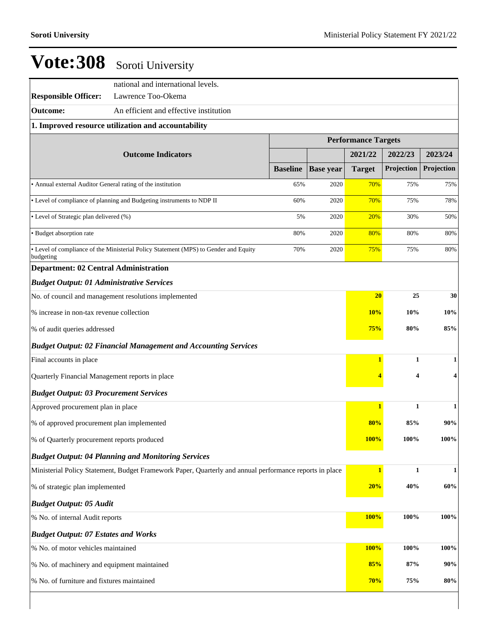|                                                             | national and international levels.                                                                      |                 |                  |               |                            |              |  |  |  |
|-------------------------------------------------------------|---------------------------------------------------------------------------------------------------------|-----------------|------------------|---------------|----------------------------|--------------|--|--|--|
| <b>Responsible Officer:</b>                                 | Lawrence Too-Okema                                                                                      |                 |                  |               |                            |              |  |  |  |
| <b>Outcome:</b>                                             | An efficient and effective institution                                                                  |                 |                  |               |                            |              |  |  |  |
|                                                             | 1. Improved resource utilization and accountability                                                     |                 |                  |               |                            |              |  |  |  |
|                                                             |                                                                                                         |                 |                  |               | <b>Performance Targets</b> |              |  |  |  |
|                                                             | <b>Outcome Indicators</b>                                                                               |                 |                  | 2021/22       | 2022/23                    | 2023/24      |  |  |  |
|                                                             |                                                                                                         | <b>Baseline</b> | <b>Base year</b> | <b>Target</b> | Projection                 | Projection   |  |  |  |
| • Annual external Auditor General rating of the institution |                                                                                                         | 65%             | 2020             | 70%           | 75%                        | 75%          |  |  |  |
|                                                             | • Level of compliance of planning and Budgeting instruments to NDP II                                   | 60%             | 2020             | 70%           | 75%                        | 78%          |  |  |  |
| • Level of Strategic plan delivered (%)                     |                                                                                                         | 5%              | 2020             | 20%           | 30%                        | 50%          |  |  |  |
| • Budget absorption rate                                    |                                                                                                         | 80%             | 2020             | 80%           | 80%                        | 80%          |  |  |  |
| budgeting                                                   | • Level of compliance of the Ministerial Policy Statement (MPS) to Gender and Equity                    | 70%             | 2020             | 75%           | 75%                        | 80%          |  |  |  |
| <b>Department: 02 Central Administration</b>                |                                                                                                         |                 |                  |               |                            |              |  |  |  |
| <b>Budget Output: 01 Administrative Services</b>            |                                                                                                         |                 |                  |               |                            |              |  |  |  |
| No. of council and management resolutions implemented       | 20                                                                                                      | 25              | 30               |               |                            |              |  |  |  |
| % increase in non-tax revenue collection                    | 10%                                                                                                     | 10%             | 10%              |               |                            |              |  |  |  |
| % of audit queries addressed                                |                                                                                                         |                 |                  | 75%           | 80%                        | 85%          |  |  |  |
|                                                             | <b>Budget Output: 02 Financial Management and Accounting Services</b>                                   |                 |                  |               |                            |              |  |  |  |
| Final accounts in place                                     |                                                                                                         |                 |                  | $\mathbf{1}$  | 1                          | 1            |  |  |  |
| Quarterly Financial Management reports in place             |                                                                                                         |                 |                  |               | 4                          |              |  |  |  |
| <b>Budget Output: 03 Procurement Services</b>               |                                                                                                         |                 |                  |               |                            |              |  |  |  |
| Approved procurement plan in place                          |                                                                                                         |                 |                  | $\mathbf{1}$  | 1                          | 1            |  |  |  |
| % of approved procurement plan implemented                  |                                                                                                         |                 |                  | 80%           | 85%                        | 90%          |  |  |  |
| % of Quarterly procurement reports produced                 |                                                                                                         |                 |                  | <b>100%</b>   | 100%                       | 100%         |  |  |  |
|                                                             | <b>Budget Output: 04 Planning and Monitoring Services</b>                                               |                 |                  |               |                            |              |  |  |  |
|                                                             | Ministerial Policy Statement, Budget Framework Paper, Quarterly and annual performance reports in place |                 |                  | $\mathbf{1}$  | $\mathbf{1}$               | $\mathbf{1}$ |  |  |  |
| % of strategic plan implemented                             |                                                                                                         |                 |                  | 20%           | 40%                        | 60%          |  |  |  |
| <b>Budget Output: 05 Audit</b>                              |                                                                                                         |                 |                  |               |                            |              |  |  |  |
| % No. of internal Audit reports                             |                                                                                                         |                 |                  | 100%          | 100%                       | 100%         |  |  |  |
| <b>Budget Output: 07 Estates and Works</b>                  |                                                                                                         |                 |                  |               |                            |              |  |  |  |
| % No. of motor vehicles maintained                          |                                                                                                         |                 |                  | 100%          | 100%                       | 100%         |  |  |  |
| % No. of machinery and equipment maintained                 |                                                                                                         |                 |                  | 85%           | 87%                        | 90%          |  |  |  |
| % No. of furniture and fixtures maintained                  |                                                                                                         |                 |                  | 70%           | 75%                        | 80%          |  |  |  |
|                                                             |                                                                                                         |                 |                  |               |                            |              |  |  |  |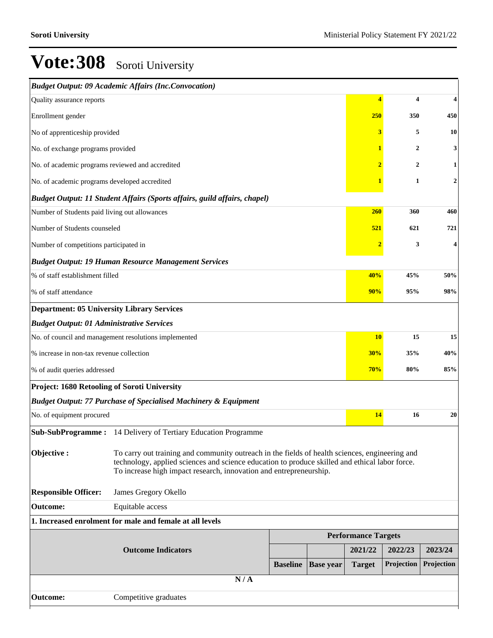|                                                       | <b>Budget Output: 09 Academic Affairs (Inc.Convocation)</b>                                                                                                                                                                                                            |                 |                  |                            |                         |                  |  |  |
|-------------------------------------------------------|------------------------------------------------------------------------------------------------------------------------------------------------------------------------------------------------------------------------------------------------------------------------|-----------------|------------------|----------------------------|-------------------------|------------------|--|--|
| Quality assurance reports                             |                                                                                                                                                                                                                                                                        |                 |                  | $\overline{\bf{4}}$        | $\overline{\mathbf{4}}$ | 4                |  |  |
| Enrollment gender                                     | 250                                                                                                                                                                                                                                                                    | 350             | 450              |                            |                         |                  |  |  |
| No of apprenticeship provided                         | 3                                                                                                                                                                                                                                                                      | 5               | 10               |                            |                         |                  |  |  |
| No. of exchange programs provided                     |                                                                                                                                                                                                                                                                        |                 |                  | $\mathbf{1}$               | $\overline{2}$          | 3                |  |  |
| No. of academic programs reviewed and accredited      |                                                                                                                                                                                                                                                                        |                 |                  | $\overline{2}$             | $\overline{2}$          | 1                |  |  |
| No. of academic programs developed accredited         |                                                                                                                                                                                                                                                                        |                 |                  |                            | 1                       | $\boldsymbol{2}$ |  |  |
|                                                       | <b>Budget Output: 11 Student Affairs (Sports affairs, guild affairs, chapel)</b>                                                                                                                                                                                       |                 |                  |                            |                         |                  |  |  |
| Number of Students paid living out allowances         |                                                                                                                                                                                                                                                                        |                 |                  | 260                        | 360                     | 460              |  |  |
| Number of Students counseled                          |                                                                                                                                                                                                                                                                        |                 |                  | 521                        | 621                     | 721              |  |  |
| Number of competitions participated in                |                                                                                                                                                                                                                                                                        |                 |                  |                            | 3                       | 4                |  |  |
|                                                       | <b>Budget Output: 19 Human Resource Management Services</b>                                                                                                                                                                                                            |                 |                  |                            |                         |                  |  |  |
| % of staff establishment filled                       |                                                                                                                                                                                                                                                                        |                 |                  | 40%                        | 45%                     | 50%              |  |  |
| % of staff attendance                                 | 90%                                                                                                                                                                                                                                                                    | 95%             | 98%              |                            |                         |                  |  |  |
| <b>Department: 05 University Library Services</b>     |                                                                                                                                                                                                                                                                        |                 |                  |                            |                         |                  |  |  |
| <b>Budget Output: 01 Administrative Services</b>      |                                                                                                                                                                                                                                                                        |                 |                  |                            |                         |                  |  |  |
| No. of council and management resolutions implemented |                                                                                                                                                                                                                                                                        |                 |                  |                            | <b>10</b><br>15         | 15               |  |  |
| % increase in non-tax revenue collection              | 30%                                                                                                                                                                                                                                                                    | 35%             | 40%              |                            |                         |                  |  |  |
| % of audit queries addressed                          |                                                                                                                                                                                                                                                                        |                 |                  | 70%                        | 80%                     | 85%              |  |  |
| Project: 1680 Retooling of Soroti University          |                                                                                                                                                                                                                                                                        |                 |                  |                            |                         |                  |  |  |
|                                                       | <b>Budget Output: 77 Purchase of Specialised Machinery &amp; Equipment</b>                                                                                                                                                                                             |                 |                  |                            |                         |                  |  |  |
| No. of equipment procured                             |                                                                                                                                                                                                                                                                        |                 |                  | 14                         | 16                      | 20               |  |  |
|                                                       | Sub-SubProgramme: 14 Delivery of Tertiary Education Programme                                                                                                                                                                                                          |                 |                  |                            |                         |                  |  |  |
| Objective:                                            | To carry out training and community outreach in the fields of health sciences, engineering and<br>technology, applied sciences and science education to produce skilled and ethical labor force.<br>To increase high impact research, innovation and entrepreneurship. |                 |                  |                            |                         |                  |  |  |
| <b>Responsible Officer:</b>                           | James Gregory Okello                                                                                                                                                                                                                                                   |                 |                  |                            |                         |                  |  |  |
| <b>Outcome:</b>                                       | Equitable access                                                                                                                                                                                                                                                       |                 |                  |                            |                         |                  |  |  |
|                                                       | 1. Increased enrolment for male and female at all levels                                                                                                                                                                                                               |                 |                  |                            |                         |                  |  |  |
|                                                       |                                                                                                                                                                                                                                                                        |                 |                  | <b>Performance Targets</b> |                         |                  |  |  |
|                                                       | <b>Outcome Indicators</b>                                                                                                                                                                                                                                              |                 |                  | 2021/22                    | 2022/23                 | 2023/24          |  |  |
|                                                       |                                                                                                                                                                                                                                                                        | <b>Baseline</b> | <b>Base year</b> | <b>Target</b>              | Projection              | Projection       |  |  |
|                                                       | N/A                                                                                                                                                                                                                                                                    |                 |                  |                            |                         |                  |  |  |
| <b>Outcome:</b>                                       | Competitive graduates                                                                                                                                                                                                                                                  |                 |                  |                            |                         |                  |  |  |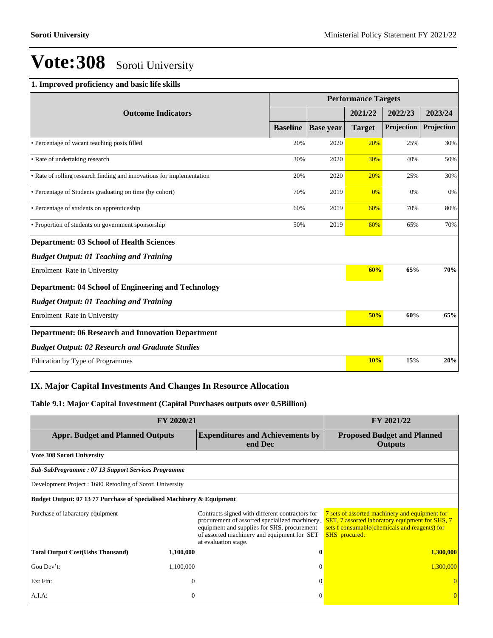#### **1. Improved proficiency and basic life skills**

|                                                                       |                 |                  | <b>Performance Targets</b> |            |            |
|-----------------------------------------------------------------------|-----------------|------------------|----------------------------|------------|------------|
| <b>Outcome Indicators</b>                                             |                 |                  | 2021/22                    | 2022/23    | 2023/24    |
|                                                                       | <b>Baseline</b> | <b>Base</b> year | <b>Target</b>              | Projection | Projection |
| • Percentage of vacant teaching posts filled                          | 20%             | 2020             | 20%                        | 25%        | 30%        |
| • Rate of undertaking research                                        | 30%             | 2020             | 30%                        | 40%        | 50%        |
| • Rate of rolling research finding and innovations for implementation | 20%             | 2020             | 20%                        | 25%        | 30%        |
| • Percentage of Students graduating on time (by cohort)               | 70%             | 2019             | 0%                         | 0%         | 0%         |
| • Percentage of students on apprenticeship                            | 60%             | 2019             | 60%                        | 70%        | 80%        |
| • Proportion of students on government sponsorship                    | 50%             | 2019             | 60%                        | 65%        | 70%        |
| <b>Department: 03 School of Health Sciences</b>                       |                 |                  |                            |            |            |
| <b>Budget Output: 01 Teaching and Training</b>                        |                 |                  |                            |            |            |
| Enrolment Rate in University                                          |                 |                  | 60%                        | 65%        | 70%        |
| <b>Department: 04 School of Engineering and Technology</b>            |                 |                  |                            |            |            |
| <b>Budget Output: 01 Teaching and Training</b>                        |                 |                  |                            |            |            |
| Enrolment Rate in University                                          |                 |                  | 50%                        | 60%        | 65%        |
| <b>Department: 06 Research and Innovation Department</b>              |                 |                  |                            |            |            |
| <b>Budget Output: 02 Research and Graduate Studies</b>                |                 |                  |                            |            |            |
| Education by Type of Programmes                                       |                 |                  | 10%                        | 15%        | 20%        |

## **IX. Major Capital Investments And Changes In Resource Allocation**

### **Table 9.1: Major Capital Investment (Capital Purchases outputs over 0.5Billion)**

| FY 2020/21                                                            | FY 2021/22   |                                                                                                                                                                                                                         |                                                                                                                                                                            |
|-----------------------------------------------------------------------|--------------|-------------------------------------------------------------------------------------------------------------------------------------------------------------------------------------------------------------------------|----------------------------------------------------------------------------------------------------------------------------------------------------------------------------|
| <b>Appr. Budget and Planned Outputs</b>                               |              | <b>Expenditures and Achievements by</b><br>end Dec                                                                                                                                                                      | <b>Proposed Budget and Planned</b><br>Outputs                                                                                                                              |
| Vote 308 Soroti University                                            |              |                                                                                                                                                                                                                         |                                                                                                                                                                            |
| Sub-SubProgramme: 07 13 Support Services Programme                    |              |                                                                                                                                                                                                                         |                                                                                                                                                                            |
| Development Project: 1680 Retooling of Soroti University              |              |                                                                                                                                                                                                                         |                                                                                                                                                                            |
| Budget Output: 07 13 77 Purchase of Specialised Machinery & Equipment |              |                                                                                                                                                                                                                         |                                                                                                                                                                            |
| Purchase of labaratory equipment                                      |              | Contracts signed with different contractors for<br>procurement of assorted specialized machinery,<br>equipment and supplies for SHS, procurement<br>of assorted machinery and equipment for SET<br>at evaluation stage. | 7 sets of assorted machinery and equipment for<br>SET, 7 assorted laboratory equipment for SHS, 7<br>sets f consumable(chemicals and reagents) for<br><b>SHS</b> procured. |
| <b>Total Output Cost(Ushs Thousand)</b>                               | 1,100,000    | 0                                                                                                                                                                                                                       | <b>1,300,000</b>                                                                                                                                                           |
| Gou Dev't:                                                            | 1,100,000    | $\Omega$                                                                                                                                                                                                                | 1,300,000                                                                                                                                                                  |
| Ext Fin:                                                              | $\mathbf{0}$ | $\Omega$                                                                                                                                                                                                                |                                                                                                                                                                            |
| A.I.A:                                                                | 0            | $\Omega$                                                                                                                                                                                                                |                                                                                                                                                                            |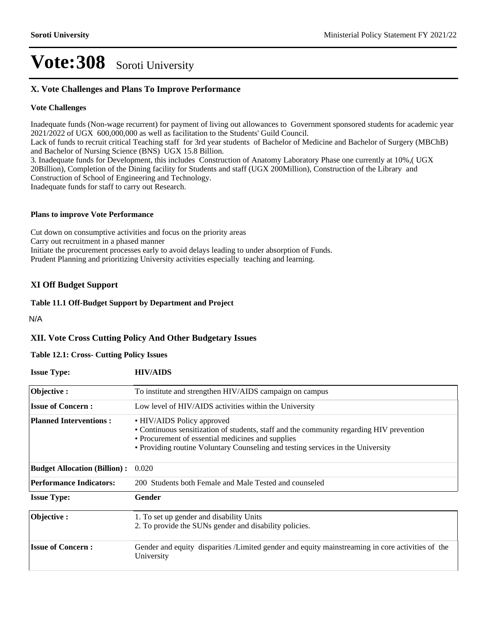## **X. Vote Challenges and Plans To Improve Performance**

#### **Vote Challenges**

Inadequate funds (Non-wage recurrent) for payment of living out allowances to Government sponsored students for academic year 2021/2022 of UGX 600,000,000 as well as facilitation to the Students' Guild Council.

Lack of funds to recruit critical Teaching staff for 3rd year students of Bachelor of Medicine and Bachelor of Surgery (MBChB) and Bachelor of Nursing Science (BNS) UGX 15.8 Billion.

3. Inadequate funds for Development, this includes Construction of Anatomy Laboratory Phase one currently at 10%,( UGX 20Billion), Completion of the Dining facility for Students and staff (UGX 200Million), Construction of the Library and Construction of School of Engineering and Technology.

Inadequate funds for staff to carry out Research.

#### **Plans to improve Vote Performance**

Cut down on consumptive activities and focus on the priority areas Carry out recruitment in a phased manner Initiate the procurement processes early to avoid delays leading to under absorption of Funds. Prudent Planning and prioritizing University activities especially teaching and learning.

#### **XI Off Budget Support**

#### **Table 11.1 Off-Budget Support by Department and Project**

N/A

### **XII. Vote Cross Cutting Policy And Other Budgetary Issues**

#### **Table 12.1: Cross- Cutting Policy Issues**

| <b>Issue Type:</b>                  | <b>HIV/AIDS</b>                                                                                                                                                                                                                                                |
|-------------------------------------|----------------------------------------------------------------------------------------------------------------------------------------------------------------------------------------------------------------------------------------------------------------|
| Objective:                          | To institute and strengthen HIV/AIDS campaign on campus                                                                                                                                                                                                        |
| <b>Issue of Concern:</b>            | Low level of HIV/AIDS activities within the University                                                                                                                                                                                                         |
| <b>Planned Interventions:</b>       | • HIV/AIDS Policy approved<br>• Continuous sensitization of students, staff and the community regarding HIV prevention<br>• Procurement of essential medicines and supplies<br>• Providing routine Voluntary Counseling and testing services in the University |
| <b>Budget Allocation (Billion):</b> | 0.020                                                                                                                                                                                                                                                          |
| <b>Performance Indicators:</b>      | 200 Students both Female and Male Tested and counseled                                                                                                                                                                                                         |
| <b>Issue Type:</b>                  | Gender                                                                                                                                                                                                                                                         |
| Objective:                          | 1. To set up gender and disability Units<br>2. To provide the SUNs gender and disability policies.                                                                                                                                                             |
| <b>Issue of Concern:</b>            | Gender and equity disparities /Limited gender and equity mainstreaming in core activities of the<br>University                                                                                                                                                 |